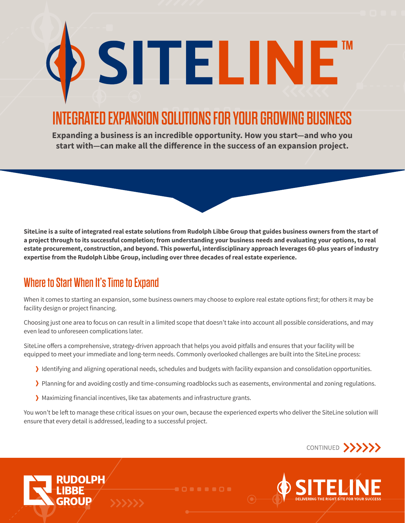# INTEGRATED EXPANSION SOLUTIONS FOR YOUR GROWING BUSINESS

SITELINE

**Expanding a business is an incredible opportunity. How you start—and who you start with—can make all the difference in the success of an expansion project.**

**SiteLine is a suite of integrated real estate solutions from Rudolph Libbe Group that guides business owners from the start of a project through to its successful completion; from understanding your business needs and evaluating your options, to real estate procurement, construction, and beyond. This powerful, interdisciplinary approach leverages 60-plus years of industry expertise from the Rudolph Libbe Group, including over three decades of real estate experience.**

### Where to Start When It's Time to Expand

**JDOLPH** 

When it comes to starting an expansion, some business owners may choose to explore real estate options first; for others it may be facility design or project financing.

Choosing just one area to focus on can result in a limited scope that doesn't take into account all possible considerations, and may even lead to unforeseen complications later.

SiteLine offers a comprehensive, strategy-driven approach that helps you avoid pitfalls and ensures that your facility will be equipped to meet your immediate and long-term needs. Commonly overlooked challenges are built into the SiteLine process:

- › Identifying and aligning operational needs, schedules and budgets with facility expansion and consolidation opportunities.
- › Planning for and avoiding costly and time-consuming roadblocks such as easements, environmental and zoning regulations.
- › Maximizing financial incentives, like tax abatements and infrastructure grants.

You won't be left to manage these critical issues on your own, because the experienced experts who deliver the SiteLine solution will ensure that every detail is addressed, leading to a successful project.